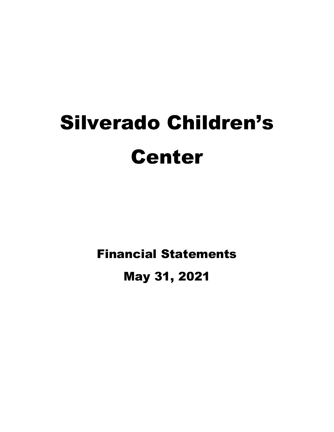# Silverado Children's Center

Financial Statements

May 31, 2021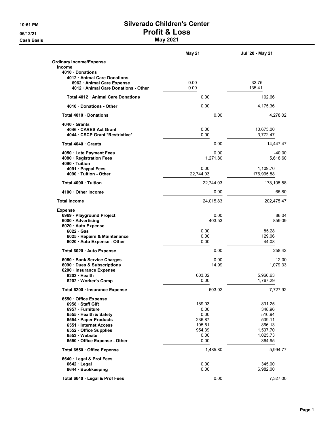**Cash Basis** May 2021

## 10:51 PM **Silverado Children's Center** 06/12/21 Profit & Loss

|                                                           | May 21         | Jul '20 - May 21 |
|-----------------------------------------------------------|----------------|------------------|
| <b>Ordinary Income/Expense</b>                            |                |                  |
| <b>Income</b>                                             |                |                  |
| 4010 Donations<br>4012 Animal Care Donations              |                |                  |
| 6962 · Animal Care Expense                                | 0.00           | $-32.75$         |
| 4012 · Animal Care Donations - Other                      | 0.00           | 135.41           |
| Total 4012 Animal Care Donations                          | 0.00           | 102.66           |
| 4010 Donations - Other                                    | 0.00           | 4,175.36         |
| Total 4010 Donations                                      | 0.00           | 4,278.02         |
|                                                           |                |                  |
| 4040 Grants<br>4046 CARES Act Grant                       | 0.00           | 10,675.00        |
| 4044 · CSCP Grant *Restrictive*                           | 0.00           | 3,772.47         |
|                                                           |                |                  |
| Total 4040 Grants                                         | 0.00           | 14,447.47        |
| 4050 Late Payment Fees                                    | 0.00           | $-40.00$         |
| 4080 Registration Fees                                    | 1,271.80       | 5,618.60         |
| 4090 · Tuition<br>4091 · Paypal Fees                      | 0.00           | 1,109.70         |
| 4090 · Tuition - Other                                    | 22,744.03      | 176,995.88       |
| Total 4090 Tuition                                        | 22,744.03      | 178,105.58       |
| 4100 Other Income                                         | 0.00           | 65.80            |
| <b>Total Income</b>                                       | 24,015.83      | 202,475.47       |
| <b>Expense</b>                                            |                |                  |
| 6969 · Playground Project                                 | 0.00           | 86.04            |
| 6000 Advertising                                          | 403.53         | 859.09           |
| 6020 Auto Expense                                         |                |                  |
| $6022 \cdot Gas$                                          | 0.00<br>0.00   | 85.28<br>129.06  |
| 6025 · Repairs & Maintenance<br>6020 Auto Expense - Other | 0.00           | 44.08            |
|                                                           | 0.00           | 258.42           |
| Total 6020 · Auto Expense                                 |                |                  |
| 6050 · Bank Service Charges                               | 0.00           | 12.00            |
| 6090 · Dues & Subscriptions<br>6200 Insurance Expense     | 14.99          | 1,079.33         |
| 6203 Health                                               | 603.02         | 5,960.63         |
| 6202 · Worker's Comp                                      | 0.00           | 1,767.29         |
| Total 6200 · Insurance Expense                            | 603.02         | 7,727.92         |
| 6550 Office Expense                                       |                |                  |
| 6958 Staff Gift                                           | 189.03         | 831.25           |
| 6957 · Furniture                                          | 0.00           | 348.96           |
| 6555 · Health & Safety<br>6554 · Paper Products           | 0.00<br>236.87 | 510.94<br>539.11 |
| 6551 Internet Access                                      | 105.51         | 866.13           |
| 6552 Office Supplies                                      | 954.39         | 1,507.70         |
| 6553 Website                                              | 0.00           | 1,025.73         |
| 6550 Office Expense - Other                               | 0.00           | 364.95           |
| Total 6550 · Office Expense                               | 1,485.80       | 5,994.77         |
| 6640 Legal & Prof Fees                                    |                |                  |
| $6642 \cdot$ Legal                                        | 0.00           | 345.00           |
| 6644 · Bookkeeping                                        | 0.00           | 6,982.00         |
| Total 6640 · Legal & Prof Fees                            | 0.00           | 7,327.00         |
|                                                           |                |                  |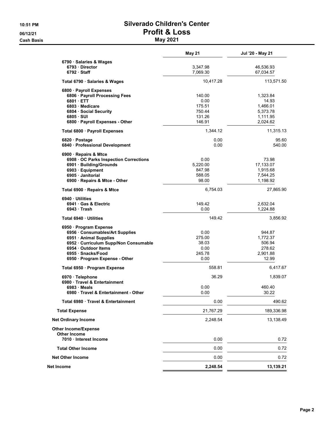#### 10:51 PM **Silverado Children's Center** 06/12/21 Profit & Loss **Cash Basis** May 2021

|                                                    | <b>May 21</b>    | Jul '20 - May 21     |
|----------------------------------------------------|------------------|----------------------|
| 6790 · Salaries & Wages                            |                  |                      |
| 6793 Director                                      | 3,347.98         | 46,536.93            |
| $6792 \cdot$ Staff                                 | 7,069.30         | 67,034.57            |
| Total 6790 · Salaries & Wages                      | 10,417.28        | 113,571.50           |
| 6800 · Payroll Expenses                            |                  |                      |
| 6806 · Payroll Processing Fees                     | 140.00           | 1,323.84             |
| $6801 \cdot ETT$                                   | 0.00             | 14.93                |
| 6803 Medicare                                      | 175.51           | 1,466.01             |
| 6804 Social Security                               | 750.44<br>131.26 | 5,373.78             |
| 6805 · SUI<br>6800 · Payroll Expenses - Other      | 146.91           | 1,111.95<br>2,024.62 |
|                                                    |                  |                      |
| Total 6800 · Payroll Expenses                      | 1,344.12         | 11,315.13            |
| 6820 Postage                                       | 0.00             | 95.60                |
| 6840 · Professional Development                    | 0.00             | 540.00               |
| 6900 · Repairs & Mtce                              |                  |                      |
| 6908 OC Parks Inspection Corrections               | 0.00             | 73.98                |
| 6901 · Building/Grounds                            | 5,220.00         | 17,133.07            |
| 6903 Equipment                                     | 847.98           | 1,915.68             |
| 6905 Janitorial                                    | 588.05           | 7,544.25             |
| 6900 · Repairs & Mtce - Other                      | 98.00            | 1,198.92             |
| Total 6900 · Repairs & Mtce                        | 6,754.03         | 27,865.90            |
| 6940 Utilities                                     |                  |                      |
| 6941 Gas & Electric                                | 149.42           | 2,632.04             |
| 6943 Trash                                         | 0.00             | 1,224.88             |
| Total 6940 · Utilities                             | 149.42           | 3,856.92             |
| 6950 · Program Expense                             |                  |                      |
| 6956 Consumables/Art Supplies                      | 0.00             | 944.87               |
| 6951 Animal Supplies                               | 275.00           | 1,772.37             |
| 6952 · Curriculum Supp/Non Consumable              | 38.03            | 506.94               |
| 6954 Outdoor Items                                 | 0.00             | 278.62               |
| 6955 Snacks/Food                                   | 245.78           | 2,901.88             |
| 6950 · Program Expense - Other                     | 0.00             | 12.99                |
| Total 6950 · Program Expense                       | 558.81           | 6,417.67             |
| 6970 · Telephone<br>6980 Travel & Entertainment    | 36.29            | 1,839.07             |
| 6983 Meals                                         | 0.00             | 460.40               |
| 6980 · Travel & Entertainment - Other              | 0.00             | 30.22                |
| Total 6980 · Travel & Entertainment                | 0.00             | 490.62               |
| <b>Total Expense</b>                               | 21,767.29        | 189,336.98           |
| <b>Net Ordinary Income</b>                         | 2,248.54         | 13,138.49            |
|                                                    |                  |                      |
| <b>Other Income/Expense</b><br><b>Other Income</b> |                  |                      |
| 7010 Interest Income                               | 0.00             | 0.72                 |
|                                                    |                  |                      |
| <b>Total Other Income</b>                          | 0.00             | 0.72                 |
| <b>Net Other Income</b>                            | 0.00             | 0.72                 |
| Net Income                                         | 2,248.54         | 13,139.21            |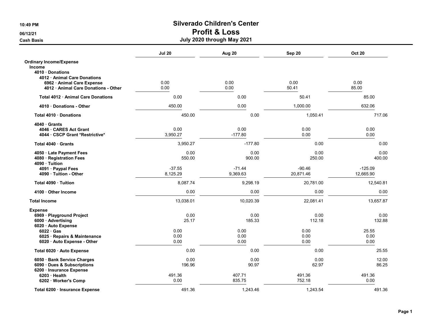Cash Basis July 2020 through May 2021

|                                    | <b>Jul 20</b> | Aug 20    | Sep 20    | <b>Oct 20</b> |
|------------------------------------|---------------|-----------|-----------|---------------|
| <b>Ordinary Income/Expense</b>     |               |           |           |               |
| <b>Income</b>                      |               |           |           |               |
| 4010 Donations                     |               |           |           |               |
| 4012 Animal Care Donations         |               |           |           |               |
| 6962 · Animal Care Expense         | 0.00          | 0.00      | 0.00      | 0.00          |
| 4012 Animal Care Donations - Other | 0.00          | 0.00      | 50.41     | 85.00         |
| Total 4012 · Animal Care Donations | 0.00          | 0.00      | 50.41     | 85.00         |
| 4010 Donations - Other             | 450.00        | 0.00      | 1,000.00  | 632.06        |
| Total 4010 Donations               | 450.00        | 0.00      | 1,050.41  | 717.06        |
| 4040 Grants                        |               |           |           |               |
| 4046 CARES Act Grant               | 0.00          | 0.00      | 0.00      | 0.00          |
| 4044 CSCP Grant *Restrictive*      | 3,950.27      | $-177.80$ | 0.00      | 0.00          |
| Total 4040 Grants                  | 3,950.27      | $-177.80$ | 0.00      | 0.00          |
| 4050 · Late Payment Fees           | 0.00          | 0.00      | 0.00      | 0.00          |
| 4080 · Registration Fees           | 550.00        | 900.00    | 250.00    | 400.00        |
| 4090 · Tuition                     |               |           |           |               |
| 4091 · Paypal Fees                 | $-37.55$      | $-71.44$  | $-90.46$  | $-125.09$     |
| 4090 · Tuition - Other             | 8,125.29      | 9,369.63  | 20,871.46 | 12,665.90     |
| Total 4090 · Tuition               | 8,087.74      | 9,298.19  | 20,781.00 | 12,540.81     |
| 4100 Other Income                  | 0.00          | 0.00      | 0.00      | 0.00          |
| <b>Total Income</b>                | 13,038.01     | 10,020.39 | 22,081.41 | 13,657.87     |
| <b>Expense</b>                     |               |           |           |               |
| 6969 · Playground Project          | 0.00          | 0.00      | 0.00      | 0.00          |
| 6000 · Advertising                 | 25.17         | 185.33    | 112.18    | 132.88        |
| 6020 · Auto Expense                |               |           |           |               |
| $6022 \cdot Gas$                   | 0.00          | 0.00      | 0.00      | 25.55         |
| 6025 · Repairs & Maintenance       | 0.00          | 0.00      | 0.00      | 0.00          |
| 6020 · Auto Expense - Other        | 0.00          | 0.00      | 0.00      | 0.00          |
| Total 6020 · Auto Expense          | 0.00          | 0.00      | 0.00      | 25.55         |
| 6050 · Bank Service Charges        | 0.00          | 0.00      | 0.00      | 12.00         |
| 6090 · Dues & Subscriptions        | 196.96        | 90.97     | 62.97     | 86.25         |
| 6200 · Insurance Expense           |               |           |           |               |
| 6203 Health                        | 491.36        | 407.71    | 491.36    | 491.36        |
| 6202 · Worker's Comp               | 0.00          | 835.75    | 752.18    | 0.00          |
| Total 6200 · Insurance Expense     | 491.36        | 1,243.46  | 1,243.54  | 491.36        |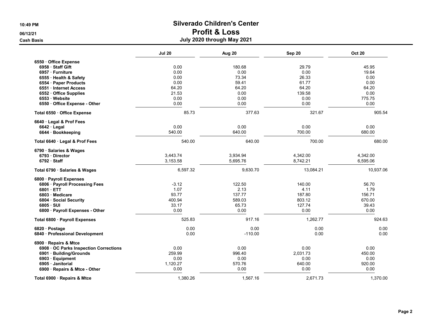|                                      | <b>Jul 20</b> | Aug 20    | Sep 20    | <b>Oct 20</b> |
|--------------------------------------|---------------|-----------|-----------|---------------|
| 6550 Office Expense                  |               |           |           |               |
| 6958 Staff Gift                      | 0.00          | 180.68    | 29.79     | 45.95         |
| 6957 · Furniture                     | 0.00          | 0.00      | 0.00      | 19.64         |
| 6555 · Health & Safety               | 0.00          | 73.34     | 26.33     | 0.00          |
| 6554 · Paper Products                | 0.00          | 59.41     | 61.77     | 0.00          |
| 6551 · Internet Access               | 64.20         | 64.20     | 64.20     | 64.20         |
| 6552 Office Supplies                 | 21.53         | 0.00      | 139.58    | 0.00          |
| 6553 Website                         | 0.00          | 0.00      | 0.00      | 775.75        |
| 6550 · Office Expense - Other        | 0.00          | 0.00      | 0.00      | 0.00          |
| Total 6550 · Office Expense          | 85.73         | 377.63    | 321.67    | 905.54        |
| 6640 · Legal & Prof Fees             |               |           |           |               |
| 6642 · Legal                         | 0.00          | 0.00      | 0.00      | 0.00          |
| 6644 · Bookkeeping                   | 540.00        | 640.00    | 700.00    | 680.00        |
| Total 6640 · Legal & Prof Fees       | 540.00        | 640.00    | 700.00    | 680.00        |
| 6790 · Salaries & Wages              |               |           |           |               |
| 6793 Director                        | 3,443.74      | 3,934.94  | 4,342.00  | 4,342.00      |
| 6792 Staff                           | 3,153.58      | 5,695.76  | 8,742.21  | 6,595.06      |
| Total 6790 · Salaries & Wages        | 6,597.32      | 9,630.70  | 13,084.21 | 10,937.06     |
| 6800 · Payroll Expenses              |               |           |           |               |
| 6806 · Payroll Processing Fees       | $-3.12$       | 122.50    | 140.00    | 56.70         |
| 6801 ETT                             | 1.07          | 2.13      | 4.11      | 1.79          |
| 6803 Medicare                        | 93.77         | 137.77    | 187.80    | 156.71        |
| 6804 Social Security                 | 400.94        | 589.03    | 803.12    | 670.00        |
| 6805 · SUI                           | 33.17         | 65.73     | 127.74    | 39.43         |
| 6800 · Payroll Expenses - Other      | 0.00          | 0.00      | 0.00      | 0.00          |
| Total 6800 · Payroll Expenses        | 525.83        | 917.16    | 1,262.77  | 924.63        |
| 6820 · Postage                       | 0.00          | 0.00      | 0.00      | 0.00          |
| 6840 Professional Development        | 0.00          | $-110.00$ | 0.00      | 0.00          |
| 6900 · Repairs & Mtce                |               |           |           |               |
| 6908 OC Parks Inspection Corrections | 0.00          | 0.00      | 0.00      | 0.00          |
| 6901 · Building/Grounds              | 259.99        | 996.40    | 2,031.73  | 450.00        |
| 6903 · Equipment                     | 0.00          | 0.00      | 0.00      | 0.00          |
| 6905 Janitorial                      | 1,120.27      | 570.76    | 640.00    | 920.00        |
| 6900 · Repairs & Mtce - Other        | 0.00          | 0.00      | 0.00      | 0.00          |
| Total 6900 · Repairs & Mtce          | 1,380.26      | 1,567.16  | 2,671.73  | 1,370.00      |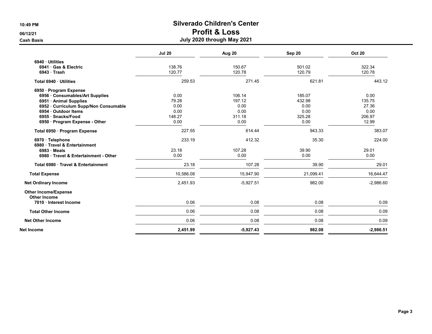|                                                    | <b>Jul 20</b> | Aug 20      | Sep 20    | <b>Oct 20</b> |
|----------------------------------------------------|---------------|-------------|-----------|---------------|
| 6940 · Utilities                                   |               |             |           |               |
| 6941 Gas & Electric                                | 138.76        | 150.67      | 501.02    | 322.34        |
| $6943 \cdot$ Trash                                 | 120.77        | 120.78      | 120.79    | 120.78        |
| Total 6940 · Utilities                             | 259.53        | 271.45      | 621.81    | 443.12        |
| 6950 · Program Expense                             |               |             |           |               |
| 6956 Consumables/Art Supplies                      | 0.00          | 106.14      | 185.07    | 0.00          |
| 6951 · Animal Supplies                             | 79.28         | 197.12      | 432.98    | 135.75        |
| 6952 · Curriculum Supp/Non Consumable              | 0.00          | 0.00        | 0.00      | 27.36         |
| 6954 · Outdoor Items                               | 0.00          | 0.00        | 0.00      | 0.00          |
| 6955 · Snacks/Food                                 | 148.27        | 311.18      | 325.28    | 206.97        |
| 6950 · Program Expense - Other                     | 0.00          | 0.00        | 0.00      | 12.99         |
| Total 6950 · Program Expense                       | 227.55        | 614.44      | 943.33    | 383.07        |
| 6970 Telephone<br>6980 Travel & Entertainment      | 233.19        | 412.32      | 35.30     | 224.00        |
| $6983 \cdot Meals$                                 | 23.18         | 107.28      | 39.90     | 29.01         |
| 6980 Travel & Entertainment - Other                | 0.00          | 0.00        | 0.00      | 0.00          |
| Total 6980 Travel & Entertainment                  | 23.18         | 107.28      | 39.90     | 29.01         |
| <b>Total Expense</b>                               | 10,586.08     | 15,947.90   | 21,099.41 | 16,644.47     |
| <b>Net Ordinary Income</b>                         | 2,451.93      | $-5,927.51$ | 982.00    | $-2,986.60$   |
| <b>Other Income/Expense</b><br><b>Other Income</b> |               |             |           |               |
| 7010 · Interest Income                             | 0.06          | 0.08        | 0.08      | 0.09          |
| <b>Total Other Income</b>                          | 0.06          | 0.08        | 0.08      | 0.09          |
| <b>Net Other Income</b>                            | 0.06          | 0.08        | 0.08      | 0.09          |
| Net Income                                         | 2,451.99      | $-5,927.43$ | 982.08    | $-2,986.51$   |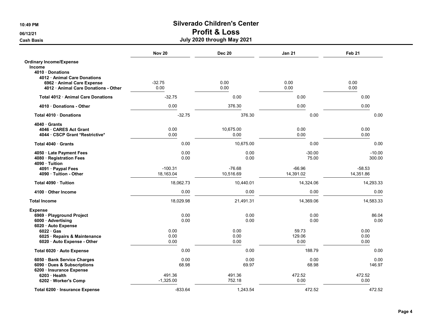|                                    | <b>Nov 20</b> | <b>Dec 20</b> | <b>Jan 21</b> | Feb <sub>21</sub> |
|------------------------------------|---------------|---------------|---------------|-------------------|
| <b>Ordinary Income/Expense</b>     |               |               |               |                   |
| Income                             |               |               |               |                   |
| 4010 Donations                     |               |               |               |                   |
| 4012 Animal Care Donations         |               |               |               |                   |
| 6962 · Animal Care Expense         | $-32.75$      | 0.00          | 0.00          | 0.00              |
| 4012 Animal Care Donations - Other | 0.00          | 0.00          | 0.00          | 0.00              |
| Total 4012 · Animal Care Donations | $-32.75$      | 0.00          | 0.00          | 0.00              |
| 4010 Donations - Other             | 0.00          | 376.30        | 0.00          | 0.00              |
| Total 4010 Donations               | $-32.75$      | 376.30        | 0.00          | 0.00              |
| $4040 \cdot$ Grants                |               |               |               |                   |
| 4046 CARES Act Grant               | 0.00          | 10,675.00     | 0.00          | 0.00              |
| 4044 · CSCP Grant *Restrictive*    | 0.00          | 0.00          | 0.00          | 0.00              |
| Total 4040 Grants                  | 0.00          | 10,675.00     | 0.00          | 0.00              |
| 4050 · Late Payment Fees           | 0.00          | 0.00          | $-30.00$      | $-10.00$          |
| 4080 · Registration Fees           | 0.00          | 0.00          | 75.00         | 300.00            |
| 4090 · Tuition                     |               |               |               |                   |
| 4091 · Paypal Fees                 | $-100.31$     | $-76.68$      | $-66.96$      | $-58.53$          |
| 4090 Tuition - Other               | 18,163.04     | 10,516.69     | 14,391.02     | 14,351.86         |
| Total 4090 Tuition                 | 18,062.73     | 10,440.01     | 14,324.06     | 14,293.33         |
| 4100 Other Income                  | 0.00          | 0.00          | 0.00          | 0.00              |
| <b>Total Income</b>                | 18,029.98     | 21,491.31     | 14,369.06     | 14,583.33         |
| Expense                            |               |               |               |                   |
| 6969 · Playground Project          | 0.00          | 0.00          | 0.00          | 86.04             |
| 6000 · Advertising                 | 0.00          | 0.00          | 0.00          | 0.00              |
| 6020 · Auto Expense                |               |               |               |                   |
| $6022 \cdot Gas$                   | 0.00          | 0.00          | 59.73         | 0.00              |
| 6025 · Repairs & Maintenance       | 0.00          | 0.00          | 129.06        | 0.00              |
| 6020 Auto Expense - Other          | 0.00          | 0.00          | 0.00          | 0.00              |
| Total 6020 · Auto Expense          | 0.00          | 0.00          | 188.79        | 0.00              |
| 6050 · Bank Service Charges        | 0.00          | 0.00          | 0.00          | 0.00              |
| 6090 · Dues & Subscriptions        | 68.98         | 69.97         | 68.98         | 146.97            |
| 6200 · Insurance Expense           |               |               |               |                   |
| $6203$ Health                      | 491.36        | 491.36        | 472.52        | 472.52            |
| 6202 · Worker's Comp               | $-1,325.00$   | 752.18        | 0.00          | 0.00              |
| Total 6200 · Insurance Expense     | $-833.64$     | 1.243.54      | 472.52        | 472.52            |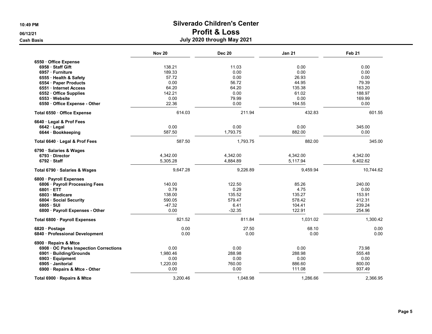#### 10:49 PM Silverado Children's Center 06/12/21 Profit & Loss Cash Basis July 2020 through May 2021

|                                      | <b>Nov 20</b> | <b>Dec 20</b> | <b>Jan 21</b> | Feb 21    |
|--------------------------------------|---------------|---------------|---------------|-----------|
| 6550 Office Expense                  |               |               |               |           |
| 6958 Staff Gift                      | 138.21        | 11.03         | 0.00          | 0.00      |
| 6957 · Furniture                     | 189.33        | 0.00          | 0.00          | 0.00      |
| 6555 · Health & Safety               | 57.72         | 0.00          | 26.93         | 0.00      |
| 6554 · Paper Products                | 0.00          | 56.72         | 44.95         | 79.39     |
| 6551 · Internet Access               | 64.20         | 64.20         | 135.38        | 163.20    |
| 6552 · Office Supplies               | 142.21        | 0.00          | 61.02         | 188.97    |
| 6553 Website                         | 0.00          | 79.99         | 0.00          | 169.99    |
| 6550 Office Expense - Other          | 22.36         | 0.00          | 164.55        | 0.00      |
| Total 6550 Office Expense            | 614.03        | 211.94        | 432.83        | 601.55    |
| 6640 Legal & Prof Fees               |               |               |               |           |
| $6642 \cdot$ Legal                   | 0.00          | 0.00          | 0.00          | 345.00    |
| 6644 · Bookkeeping                   | 587.50        | 1,793.75      | 882.00        | 0.00      |
| Total 6640 · Legal & Prof Fees       | 587.50        | 1,793.75      | 882.00        | 345.00    |
| 6790 · Salaries & Wages              |               |               |               |           |
| 6793 Director                        | 4,342.00      | 4,342.00      | 4,342.00      | 4,342.00  |
| 6792 Staff                           | 5,305.28      | 4,884.89      | 5,117.94      | 6,402.62  |
| Total 6790 · Salaries & Wages        | 9,647.28      | 9,226.89      | 9,459.94      | 10,744.62 |
| 6800 · Payroll Expenses              |               |               |               |           |
| 6806 · Payroll Processing Fees       | 140.00        | 122.50        | 85.26         | 240.00    |
| 6801 ETT                             | 0.79          | 0.29          | 4.75          | 0.00      |
| 6803 Medicare                        | 138.00        | 135.52        | 135.27        | 153.91    |
| 6804 · Social Security               | 590.05        | 579.47        | 578.42        | 412.31    |
| $6805 \cdot SUI$                     | $-47.32$      | 6.41          | 104.41        | 239.24    |
| 6800 · Payroll Expenses - Other      | 0.00          | $-32.35$      | 122.91        | 254.96    |
| Total 6800 · Payroll Expenses        | 821.52        | 811.84        | 1,031.02      | 1,300.42  |
| 6820 · Postage                       | 0.00          | 27.50         | 68.10         | 0.00      |
| 6840 · Professional Development      | 0.00          | 0.00          | 0.00          | 0.00      |
| 6900 · Repairs & Mtce                |               |               |               |           |
| 6908 OC Parks Inspection Corrections | 0.00          | 0.00          | 0.00          | 73.98     |
| 6901 · Building/Grounds              | 1,980.46      | 288.98        | 288.98        | 555.48    |
| 6903 · Equipment                     | 0.00          | 0.00          | 0.00          | 0.00      |
| 6905 Janitorial                      | 1,220.00      | 760.00        | 886.60        | 800.00    |
| 6900 · Repairs & Mtce - Other        | 0.00          | 0.00          | 111.08        | 937.49    |
| Total 6900 · Repairs & Mtce          | 3,200.46      | 1,048.98      | 1,286.66      | 2.366.95  |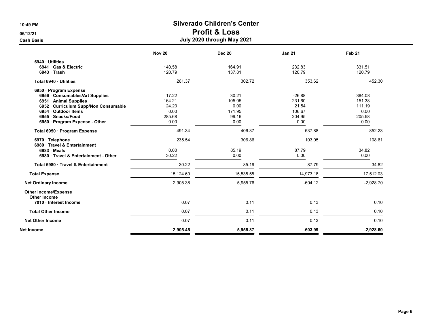|                                                    | <b>Nov 20</b> | <b>Dec 20</b> | <b>Jan 21</b> | Feb <sub>21</sub> |
|----------------------------------------------------|---------------|---------------|---------------|-------------------|
| 6940 Utilities                                     |               |               |               |                   |
| 6941 Gas & Electric                                | 140.58        | 164.91        | 232.83        | 331.51            |
| 6943 Trash                                         | 120.79        | 137.81        | 120.79        | 120.79            |
| Total 6940 · Utilities                             | 261.37        | 302.72        | 353.62        | 452.30            |
| 6950 · Program Expense                             |               |               |               |                   |
| 6956 Consumables/Art Supplies                      | 17.22         | 30.21         | $-26.88$      | 384.08            |
| 6951 · Animal Supplies                             | 164.21        | 105.05        | 231.60        | 151.38            |
| 6952 · Curriculum Supp/Non Consumable              | 24.23         | 0.00          | 21.54         | 111.19            |
| 6954 · Outdoor Items                               | 0.00          | 171.95        | 106.67        | 0.00              |
| 6955 · Snacks/Food                                 | 285.68        | 99.16         | 204.95        | 205.58            |
| 6950 · Program Expense - Other                     | 0.00          | 0.00          | 0.00          | 0.00              |
| Total 6950 · Program Expense                       | 491.34        | 406.37        | 537.88        | 852.23            |
| 6970 · Telephone<br>6980 Travel & Entertainment    | 235.54        | 306.86        | 103.05        | 108.61            |
| 6983 Meals                                         | 0.00          | 85.19         | 87.79         | 34.82             |
| 6980 Travel & Entertainment - Other                | 30.22         | 0.00          | 0.00          | 0.00              |
| Total 6980 Travel & Entertainment                  | 30.22         | 85.19         | 87.79         | 34.82             |
| <b>Total Expense</b>                               | 15,124.60     | 15,535.55     | 14,973.18     | 17,512.03         |
| <b>Net Ordinary Income</b>                         | 2,905.38      | 5,955.76      | $-604.12$     | $-2,928.70$       |
| <b>Other Income/Expense</b><br><b>Other Income</b> |               |               |               |                   |
| 7010 · Interest Income                             | 0.07          | 0.11          | 0.13          | 0.10              |
| <b>Total Other Income</b>                          | 0.07          | 0.11          | 0.13          | 0.10              |
| <b>Net Other Income</b>                            | 0.07          | 0.11          | 0.13          | 0.10              |
| Net Income                                         | 2,905.45      | 5,955.87      | $-603.99$     | $-2,928.60$       |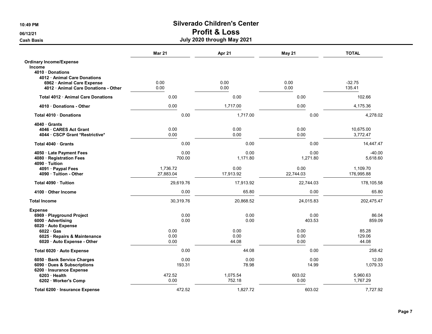|                                         | Mar 21    | Apr 21    | May 21    | <b>TOTAL</b> |
|-----------------------------------------|-----------|-----------|-----------|--------------|
| <b>Ordinary Income/Expense</b>          |           |           |           |              |
| <b>Income</b>                           |           |           |           |              |
| 4010 Donations                          |           |           |           |              |
| 4012 Animal Care Donations              |           |           |           |              |
| 6962 Animal Care Expense                | 0.00      | 0.00      | 0.00      | $-32.75$     |
| 4012 · Animal Care Donations - Other    | 0.00      | 0.00      | 0.00      | 135.41       |
| <b>Total 4012 Animal Care Donations</b> | 0.00      | 0.00      | 0.00      | 102.66       |
| 4010 Donations - Other                  | 0.00      | 1,717.00  | 0.00      | 4,175.36     |
| Total 4010 Donations                    | 0.00      | 1,717.00  | 0.00      | 4,278.02     |
| 4040 Grants                             |           |           |           |              |
| 4046 CARES Act Grant                    | 0.00      | 0.00      | 0.00      | 10,675.00    |
| 4044 · CSCP Grant *Restrictive*         | 0.00      | 0.00      | 0.00      | 3,772.47     |
| Total 4040 Grants                       | 0.00      | 0.00      | 0.00      | 14,447.47    |
| 4050 · Late Payment Fees                | 0.00      | 0.00      | 0.00      | $-40.00$     |
| 4080 · Registration Fees                | 700.00    | 1,171.80  | 1,271.80  | 5,618.60     |
| 4090 · Tuition                          |           |           |           |              |
| 4091 · Paypal Fees                      | 1,736.72  | 0.00      | 0.00      | 1,109.70     |
| 4090 · Tuition - Other                  | 27,883.04 | 17,913.92 | 22,744.03 | 176,995.88   |
| Total 4090 Tuition                      | 29,619.76 | 17,913.92 | 22,744.03 | 178,105.58   |
| 4100 Other Income                       | 0.00      | 65.80     | 0.00      | 65.80        |
| <b>Total Income</b>                     | 30,319.76 | 20,868.52 | 24,015.83 | 202,475.47   |
| <b>Expense</b>                          |           |           |           |              |
| 6969 · Playground Project               | 0.00      | 0.00      | 0.00      | 86.04        |
| 6000 · Advertising                      | 0.00      | 0.00      | 403.53    | 859.09       |
| 6020 · Auto Expense                     |           |           |           |              |
| $6022 \cdot Gas$                        | 0.00      | 0.00      | 0.00      | 85.28        |
| 6025 · Repairs & Maintenance            | 0.00      | 0.00      | 0.00      | 129.06       |
| 6020 Auto Expense - Other               | 0.00      | 44.08     | 0.00      | 44.08        |
| Total 6020 · Auto Expense               | 0.00      | 44.08     | 0.00      | 258.42       |
| 6050 · Bank Service Charges             | 0.00      | 0.00      | 0.00      | 12.00        |
| 6090 · Dues & Subscriptions             | 193.31    | 78.98     | 14.99     | 1,079.33     |
| 6200 · Insurance Expense                |           |           |           |              |
| $6203$ Health                           | 472.52    | 1,075.54  | 603.02    | 5,960.63     |
| 6202 · Worker's Comp                    | 0.00      | 752.18    | 0.00      | 1,767.29     |
| Total 6200 · Insurance Expense          | 472.52    | 1.827.72  | 603.02    | 7,727.92     |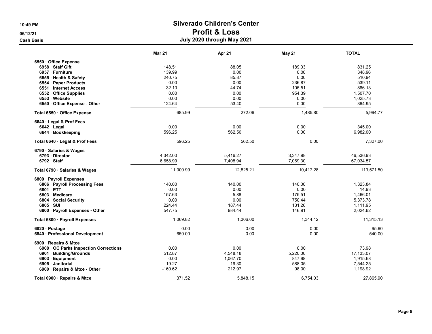Cash Basis July 2020 through May 2021

|                                      | <b>Mar 21</b> | Apr 21    | May 21    | <b>TOTAL</b> |
|--------------------------------------|---------------|-----------|-----------|--------------|
| 6550 Office Expense                  |               |           |           |              |
| 6958 Staff Gift                      | 148.51        | 88.05     | 189.03    | 831.25       |
| 6957 · Furniture                     | 139.99        | 0.00      | 0.00      | 348.96       |
| 6555 · Health & Safety               | 240.75        | 85.87     | 0.00      | 510.94       |
| 6554 · Paper Products                | 0.00          | 0.00      | 236.87    | 539.11       |
| 6551 · Internet Access               | 32.10         | 44.74     | 105.51    | 866.13       |
| 6552 · Office Supplies               | 0.00          | 0.00      | 954.39    | 1,507.70     |
| 6553 Website                         | 0.00          | 0.00      | 0.00      | 1,025.73     |
| 6550 Office Expense - Other          | 124.64        | 53.40     | 0.00      | 364.95       |
| Total 6550 Office Expense            | 685.99        | 272.06    | 1,485.80  | 5,994.77     |
| 6640 Legal & Prof Fees               |               |           |           |              |
| $6642 \cdot$ Legal                   | 0.00          | 0.00      | 0.00      | 345.00       |
| 6644 · Bookkeeping                   | 596.25        | 562.50    | 0.00      | 6,982.00     |
| Total 6640 · Legal & Prof Fees       | 596.25        | 562.50    | 0.00      | 7,327.00     |
| 6790 · Salaries & Wages              |               |           |           |              |
| 6793 Director                        | 4,342.00      | 5,416.27  | 3,347.98  | 46,536.93    |
| 6792 Staff                           | 6,658.99      | 7,408.94  | 7,069.30  | 67,034.57    |
| Total 6790 · Salaries & Wages        | 11,000.99     | 12,825.21 | 10,417.28 | 113,571.50   |
| 6800 · Payroll Expenses              |               |           |           |              |
| 6806 · Payroll Processing Fees       | 140.00        | 140.00    | 140.00    | 1,323.84     |
| 6801 ETT                             | 0.00          | 0.00      | 0.00      | 14.93        |
| 6803 Medicare                        | 157.63        | $-5.88$   | 175.51    | 1,466.01     |
| 6804 Social Security                 | 0.00          | 0.00      | 750.44    | 5,373.78     |
| 6805 · SUI                           | 224.44        | 187.44    | 131.26    | 1,111.95     |
| 6800 · Payroll Expenses - Other      | 547.75        | 984.44    | 146.91    | 2,024.62     |
| Total 6800 · Payroll Expenses        | 1,069.82      | 1,306.00  | 1,344.12  | 11,315.13    |
| 6820 · Postage                       | 0.00          | 0.00      | 0.00      | 95.60        |
| 6840 · Professional Development      | 650.00        | 0.00      | 0.00      | 540.00       |
| 6900 · Repairs & Mtce                |               |           |           |              |
| 6908 OC Parks Inspection Corrections | 0.00          | 0.00      | 0.00      | 73.98        |
| 6901 · Building/Grounds              | 512.87        | 4,548.18  | 5,220.00  | 17,133.07    |
| 6903 · Equipment                     | 0.00          | 1,067.70  | 847.98    | 1,915.68     |
| 6905 Janitorial                      | 19.27         | 19.30     | 588.05    | 7,544.25     |
| 6900 · Repairs & Mtce - Other        | $-160.62$     | 212.97    | 98.00     | 1,198.92     |
| Total 6900 · Repairs & Mtce          | 371.52        | 5,848.15  | 6,754.03  | 27,865.90    |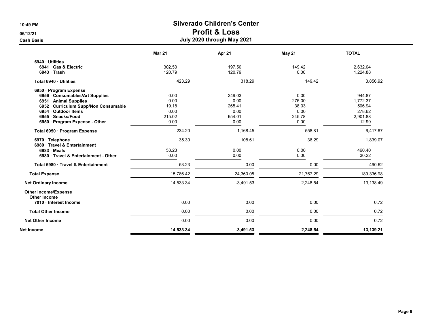|                                                 | <b>Mar 21</b> | Apr 21      | May 21    | <b>TOTAL</b> |
|-------------------------------------------------|---------------|-------------|-----------|--------------|
| 6940 · Utilities                                |               |             |           |              |
| 6941 Gas & Electric                             | 302.50        | 197.50      | 149.42    | 2,632.04     |
| $6943 \cdot$ Trash                              | 120.79        | 120.79      | 0.00      | 1,224.88     |
| Total 6940 · Utilities                          | 423.29        | 318.29      | 149.42    | 3,856.92     |
| 6950 · Program Expense                          |               |             |           |              |
| 6956 Consumables/Art Supplies                   | 0.00          | 249.03      | 0.00      | 944.87       |
| 6951 Animal Supplies                            | 0.00          | 0.00        | 275.00    | 1,772.37     |
| 6952 · Curriculum Supp/Non Consumable           | 19.18         | 265.41      | 38.03     | 506.94       |
| 6954 · Outdoor Items                            | 0.00          | 0.00        | 0.00      | 278.62       |
| 6955 · Snacks/Food                              | 215.02        | 654.01      | 245.78    | 2.901.88     |
| 6950 · Program Expense - Other                  | 0.00          | 0.00        | 0.00      | 12.99        |
| Total 6950 · Program Expense                    | 234.20        | 1,168.45    | 558.81    | 6,417.67     |
| 6970 · Telephone<br>6980 Travel & Entertainment | 35.30         | 108.61      | 36.29     | 1,839.07     |
| $6983 \cdot Meals$                              | 53.23         | 0.00        | 0.00      | 460.40       |
| 6980 Travel & Entertainment - Other             | 0.00          | 0.00        | 0.00      | 30.22        |
| Total 6980 · Travel & Entertainment             | 53.23         | 0.00        | 0.00      | 490.62       |
| <b>Total Expense</b>                            | 15.786.42     | 24,360.05   | 21,767.29 | 189,336.98   |
| <b>Net Ordinary Income</b>                      | 14,533.34     | $-3,491.53$ | 2,248.54  | 13,138.49    |
| <b>Other Income/Expense</b><br>Other Income     |               |             |           |              |
| 7010 · Interest Income                          | 0.00          | 0.00        | 0.00      | 0.72         |
| <b>Total Other Income</b>                       | 0.00          | 0.00        | 0.00      | 0.72         |
| <b>Net Other Income</b>                         | 0.00          | 0.00        | 0.00      | 0.72         |
| Net Income                                      | 14,533.34     | $-3,491.53$ | 2,248.54  | 13,139.21    |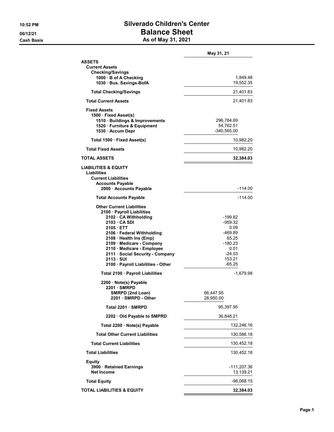#### 10:52 PM Silverado Children's Center 06/12/21 Balance Sheet Cash Basis **As of May 31, 2021**

|                                                                                                                                                                                                                                                                                                                                    | May 31, 21                                                                                            |
|------------------------------------------------------------------------------------------------------------------------------------------------------------------------------------------------------------------------------------------------------------------------------------------------------------------------------------|-------------------------------------------------------------------------------------------------------|
| ASSETS<br><b>Current Assets</b><br><b>Checking/Savings</b><br>1000 · B of A Checking<br>1030 · Bus. Savings-BofA                                                                                                                                                                                                                   | 1,849.48<br>19,552.35                                                                                 |
| <b>Total Checking/Savings</b>                                                                                                                                                                                                                                                                                                      | 21,401.83                                                                                             |
| <b>Total Current Assets</b>                                                                                                                                                                                                                                                                                                        | 21,401.83                                                                                             |
| <b>Fixed Assets</b><br>1500 · Fixed Asset(s)<br>1510 · Buildings & Improvements<br>1520 · Furniture & Equipment<br>1530 · Accum Depr                                                                                                                                                                                               | 296,784.69<br>54,762.51<br>$-340,565.00$                                                              |
| Total 1500 · Fixed Asset(s)                                                                                                                                                                                                                                                                                                        | 10,982.20                                                                                             |
| <b>Total Fixed Assets</b>                                                                                                                                                                                                                                                                                                          | 10,982.20                                                                                             |
| TOTAL ASSETS                                                                                                                                                                                                                                                                                                                       | 32,384.03                                                                                             |
| <b>LIABILITIES &amp; EQUITY</b><br>Liabilities<br><b>Current Liabilities</b><br><b>Accounts Payable</b><br>2000 Accounts Payable                                                                                                                                                                                                   | -114.00                                                                                               |
| <b>Total Accounts Payable</b>                                                                                                                                                                                                                                                                                                      | -114.00                                                                                               |
| <b>Other Current Liabilities</b><br>2100 · Payroll Liabilities<br>2102 CA Withholding<br>2103 CA SDI<br>2105 ETT<br>2106 · Federal Withholding<br>2108 · Health Ins (Emp)<br>2109 · Medicare - Company<br>2110 · Medicare - Employee<br>2111 · Social Security - Company<br>$2113 \cdot SUI$<br>2100 · Payroll Liabilities - Other | -199.82<br>-959.32<br>0.09<br>-469.89<br>65.25<br>$-180.23$<br>0.01<br>$-24.03$<br>153.21<br>$-65.25$ |
| Total 2100 · Payroll Liabilities                                                                                                                                                                                                                                                                                                   | -1,679.98                                                                                             |
| 2200 · Note(s) Payable<br>2201 SMRPD<br>SMRPD (2nd Loan)<br>2201 · SMRPD - Other                                                                                                                                                                                                                                                   | 66,447.95<br>28,950.00                                                                                |
| Total 2201 · SMRPD                                                                                                                                                                                                                                                                                                                 | 95,397.95                                                                                             |
| 2202 · Old Payable to SMPRD                                                                                                                                                                                                                                                                                                        | 36,848.21                                                                                             |
| Total 2200 · Note(s) Payable                                                                                                                                                                                                                                                                                                       | 132,246.16                                                                                            |
| <b>Total Other Current Liabilities</b>                                                                                                                                                                                                                                                                                             | 130,566.18                                                                                            |
| <b>Total Current Liabilities</b>                                                                                                                                                                                                                                                                                                   | 130,452.18                                                                                            |
| <b>Total Liabilities</b>                                                                                                                                                                                                                                                                                                           | 130,452.18                                                                                            |
| <b>Equity</b><br>3900 · Retained Earnings<br><b>Net Income</b>                                                                                                                                                                                                                                                                     | $-111,207.36$<br>13,139.21                                                                            |
| <b>Total Equity</b>                                                                                                                                                                                                                                                                                                                | -98,068.15                                                                                            |
| <b>TOTAL LIABILITIES &amp; EQUITY</b>                                                                                                                                                                                                                                                                                              | 32,384.03                                                                                             |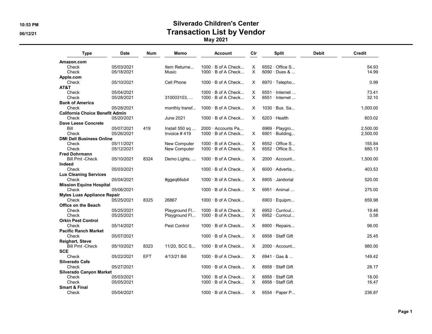## 10:53 PM Silverado Children's Center 06/12/21 Contraction List by Vendor

| Type                                   | <b>Date</b> | Num        | Memo           | Account                   | Clr      | <b>Split</b>            | <b>Debit</b> | Credit   |
|----------------------------------------|-------------|------------|----------------|---------------------------|----------|-------------------------|--------------|----------|
| Amazon.com                             |             |            |                |                           |          |                         |              |          |
| Check                                  | 05/03/2021  |            | Item Returne   | $1000 \cdot B$ of A Check | X        | $6552 \cdot$ Office S   |              | 54.93    |
| Check                                  | 05/18/2021  |            | Music          | $1000 \cdot B$ of A Check | $\times$ | 6090 · Dues &           |              | 14.99    |
| Apple.com                              |             |            |                |                           |          |                         |              |          |
| Check                                  | 05/10/2021  |            | Cell Phone     | $1000 \cdot B$ of A Check | X        | 6970 $\cdot$ Telepho    |              | 0.99     |
| AT&T                                   |             |            |                |                           |          |                         |              |          |
| Check                                  | 05/04/2021  |            |                | $1000 \cdot B$ of A Check | X        | $6551 \cdot$ Internet   |              | 73.41    |
| Check                                  | 05/28/2021  |            | 310003103,     | $1000 \cdot B$ of A Check | $\times$ | $6551 \cdot$ Internet   |              | 32.10    |
| <b>Bank of America</b>                 |             |            |                |                           |          |                         |              |          |
| Check                                  | 05/28/2021  |            | monthly transf | $1000 \cdot B$ of A Check | $\times$ | 1030 · Bus. Sa          |              | 1,000.00 |
| <b>California Choice Benefit Admin</b> |             |            |                |                           |          |                         |              |          |
| Check                                  | 05/20/2021  |            | June 2021      | $1000 \cdot B$ of A Check | X        | $6203 \cdot$ Health     |              | 603.02   |
| <b>Dave Leese Concrete</b>             |             |            |                |                           |          |                         |              |          |
| Bill                                   | 05/07/2021  | 419        | Install 550 sq | $2000 \cdot$ Accounts Pa  |          | 6969 · Playgro          |              | 2.500.00 |
| Check                                  | 05/26/2021  |            | Invoice $#419$ | $1000 \cdot B$ of A Check | X        | $6901 \cdot$ Building   |              | 2,500.00 |
| <b>DMI Dell Business Online</b>        |             |            |                |                           |          |                         |              |          |
| Check                                  | 05/11/2021  |            | New Computer   | $1000 \cdot B$ of A Check | X.       | $6552 \cdot$ Office S   |              | 155.84   |
| Check                                  | 05/12/2021  |            | New Computer   | $1000 \cdot B$ of A Check | $\times$ | $6552 \cdot$ Office S   |              | 680.13   |
| <b>Fred Dohrmann</b>                   |             |            |                |                           |          |                         |              |          |
|                                        |             |            |                |                           |          |                         |              |          |
| <b>Bill Pmt -Check</b>                 | 05/10/2021  | 8324       | Demo Lights,   | $1000 \cdot B$ of A Check | X        | $2000 \cdot$ Account    |              | 1,500.00 |
| Indeed                                 |             |            |                |                           |          |                         |              |          |
| Check                                  | 05/03/2021  |            |                | $1000 \cdot B$ of A Check | X        | $6000 \cdot$ Advertis   |              | 403.53   |
| <b>Lux Cleaning Services</b>           |             |            |                |                           |          |                         |              |          |
| Check                                  | 05/04/2021  |            | #ggeg66sb4     | $1000 \cdot B$ of A Check | X        | $6905 \cdot$ Janitorial |              | 520.00   |
| <b>Mission Equine Hospital</b>         |             |            |                |                           |          |                         |              |          |
| Check                                  | 05/06/2021  |            |                | $1000 \cdot B$ of A Check | X        | $6951 \cdot$ Animal     |              | 275.00   |
| <b>Myles Luas Appliance Repair</b>     |             |            |                |                           |          |                         |              |          |
| Check                                  | 05/25/2021  | 8325       | 26867          | $1000 \cdot B$ of A Check |          | $6903 \cdot$ Equipm     |              | 659.98   |
| <b>Office on the Beach</b>             |             |            |                |                           |          |                         |              |          |
| Check                                  | 05/25/2021  |            | Playground Fl  | $1000 \cdot B$ of A Check | X        | $6952 \cdot$ Curricul   |              | 19.46    |
| Check                                  | 05/25/2021  |            | Playground Fl  | $1000 \cdot B$ of A Check | $\times$ | $6952 \cdot$ Curricul   |              | 0.58     |
| <b>Orkin Pest Control</b>              |             |            |                |                           |          |                         |              |          |
| Check                                  | 05/14/2021  |            | Pest Control   | $1000 \cdot B$ of A Check | X        | $6900 \cdot$ Repairs    |              | 98.00    |
| <b>Pacific Ranch Market</b>            |             |            |                |                           |          |                         |              |          |
| Check                                  | 05/07/2021  |            |                | $1000 \cdot B$ of A Check | X        | $6958 \cdot$ Staff Gift |              | 25.45    |
| <b>Reighart, Steve</b>                 |             |            |                |                           |          |                         |              |          |
| <b>Bill Pmt - Check</b>                | 05/10/2021  | 8323       | 11/20, SCC S   | $1000 \cdot B$ of A Check | X        | $2000 \cdot$ Account    |              | 980.00   |
| <b>SCE</b>                             |             |            |                |                           |          |                         |              |          |
| Check                                  | 05/22/2021  | <b>EFT</b> | 4/13/21 Bill   | $1000 \cdot B$ of A Check | X        | $6941 \cdot$ Gas &      |              | 149.42   |
| Silverado Cafe                         |             |            |                |                           |          |                         |              |          |
| Check                                  | 05/27/2021  |            |                | $1000 \cdot B$ of A Check | X        | $6958 \cdot$ Staff Gift |              | 28.17    |
| <b>Silverado Canyon Market</b>         |             |            |                |                           |          |                         |              |          |
| Check                                  | 05/03/2021  |            |                | $1000 \cdot B$ of A Check | X        | 6958 · Staff Gift       |              | 18.00    |
| Check                                  | 05/05/2021  |            |                | $1000 \cdot B$ of A Check | X        | 6958 · Staff Gift       |              | 16.47    |
| <b>Smart &amp; Final</b>               |             |            |                |                           |          |                         |              |          |
|                                        |             |            |                |                           |          |                         |              | 236.87   |
| Check                                  | 05/04/2021  |            |                | $1000 \cdot B$ of A Check | X        | 6554 · Paper P          |              |          |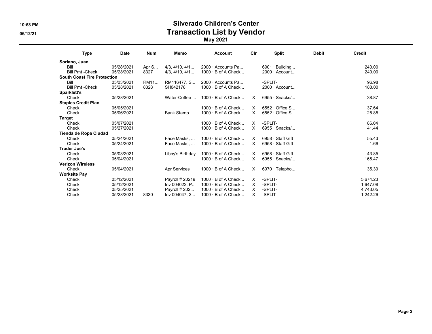#### 10:53 PM Silverado Children's Center 06/12/21 Contraction List by Vendor

| <b>Type</b>                        | <b>Date</b> | <b>Num</b> | Memo                   | <b>Account</b>            | Cir      | <b>Split</b>            | <b>Debit</b> | Credit   |
|------------------------------------|-------------|------------|------------------------|---------------------------|----------|-------------------------|--------------|----------|
| Soriano, Juan                      |             |            |                        |                           |          |                         |              |          |
| Bill                               | 05/28/2021  | Apr S      | $4/3$ , $4/10$ , $4/1$ | $2000 \cdot$ Accounts Pa  |          | $6901 \cdot$ Building   |              | 240.00   |
| <b>Bill Pmt -Check</b>             | 05/28/2021  | 8327       | 4/3.4/10.4/1           | $1000 \cdot B$ of A Check |          | $2000 \cdot$ Account    |              | 240.00   |
| <b>South Coast Fire Protection</b> |             |            |                        |                           |          |                         |              |          |
| Bill                               | 05/03/2021  | RM11       | RM116477. S            | $2000 \cdot$ Accounts Pa  |          | -SPLIT-                 |              | 96.98    |
| <b>Bill Pmt -Check</b>             | 05/28/2021  | 8328       | SH042176               | $1000 \cdot B$ of A Check |          | $2000 \cdot$ Account    |              | 188.00   |
| Sparklett's                        |             |            |                        |                           |          |                         |              |          |
| Check                              | 05/28/2021  |            | Water-Coffee           | $1000 \cdot B$ of A Check | X        | $6955 \cdot$ Snacks/    |              | 38.87    |
| <b>Staples Credit Plan</b>         |             |            |                        |                           |          |                         |              |          |
| Check                              | 05/05/2021  |            |                        | $1000 \cdot B$ of A Check | $\times$ | $6552 \cdot$ Office S   |              | 37.64    |
| Check                              | 05/06/2021  |            | <b>Bank Stamp</b>      | $1000 \cdot B$ of A Check | $\times$ | $6552 \cdot$ Office S   |              | 25.85    |
| Target                             |             |            |                        |                           |          |                         |              |          |
| Check                              | 05/07/2021  |            |                        | $1000 \cdot B$ of A Check | X        | -SPLIT-                 |              | 86.04    |
| Check                              | 05/27/2021  |            |                        | $1000 \cdot B$ of A Check | X        | $6955 \cdot$ Snacks/    |              | 41.44    |
| Tienda de Ropa Ciudad              |             |            |                        |                           |          |                         |              |          |
| Check                              | 05/24/2021  |            | Face Masks             | $1000 \cdot B$ of A Check | X        | 6958 · Staff Gift       |              | 55.43    |
| Check                              | 05/24/2021  |            | Face Masks             | $1000 \cdot B$ of A Check | X        | $6958 \cdot$ Staff Gift |              | 1.66     |
| Trader Joe's                       |             |            |                        |                           |          |                         |              |          |
| Check                              | 05/03/2021  |            | Libby's Birthday       | $1000 \cdot B$ of A Check | X        | 6958 · Staff Gift       |              | 43.85    |
| Check                              | 05/04/2021  |            |                        | $1000 \cdot B$ of A Check | $\times$ | $6955 \cdot$ Snacks/    |              | 165.47   |
| <b>Verizon Wireless</b>            |             |            |                        |                           |          |                         |              |          |
| Check                              | 05/04/2021  |            | Apr Services           | $1000 \cdot B$ of A Check | X        | $6970 \cdot$ Telepho    |              | 35.30    |
| <b>Worksite Pay</b>                |             |            |                        |                           |          |                         |              |          |
| Check                              | 05/12/2021  |            | Payroll # 20219        | $1000 \cdot B$ of A Check | X        | -SPLIT-                 |              | 5,674.23 |
| Check                              | 05/12/2021  |            | Inv 004022, P          | $1000 \cdot B$ of A Check | Χ        | -SPLIT-                 |              | 1,647.08 |
| Check                              | 05/25/2021  |            | Payroll # 202          | $1000 \cdot B$ of A Check | X        | -SPLIT-                 |              | 4,743.05 |
| Check                              | 05/28/2021  | 8330       | Inv 004047, 2          | $1000 \cdot B$ of A Check | X        | -SPLIT-                 |              | 1.242.26 |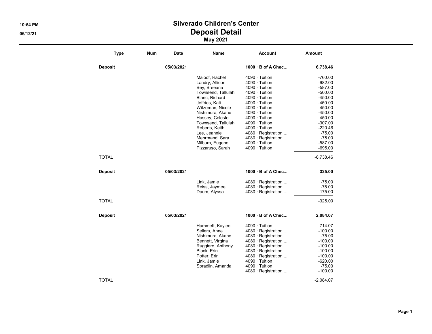## 10:54 PM Silverado Children's Center 06/12/21 Deposit Detail

| <b>Type</b>    | Num        | Name<br>Date       | <b>Account</b>       | Amount      |
|----------------|------------|--------------------|----------------------|-------------|
| <b>Deposit</b> | 05/03/2021 |                    | 1000 B of A Chec     | 6,738.46    |
|                |            | Maloof, Rachel     | 4090 · Tuition       | $-760.00$   |
|                |            | Landry, Allison    | $4090 \cdot$ Tuition | $-682.00$   |
|                |            | Bey, Breeana       | $4090 \cdot$ Tuition | $-587.00$   |
|                |            | Townsend, Tallulah | $4090 \cdot$ Tuition | $-500.00$   |
|                |            | Blanc, Richard     | $4090 \cdot$ Tuition | $-450.00$   |
|                |            | Jeffries, Kati     | $4090 \cdot$ Tuition | $-450.00$   |
|                |            | Witzeman, Nicole   | $4090 \cdot$ Tuition | $-450.00$   |
|                |            | Nishimura, Akane   | $4090 \cdot$ Tuition | $-450.00$   |
|                |            | Hassey, Celeste    | $4090 \cdot$ Tuition | $-450.00$   |
|                |            | Townsend, Tallulah | $4090 \cdot$ Tuition | $-307.00$   |
|                |            | Roberts, Keith     | $4090 \cdot$ Tuition | $-220.46$   |
|                |            | Lee, Jeannie       | 4080 · Registration  | $-75.00$    |
|                |            | Mehrmand, Sara     | 4080 · Registration  | $-75.00$    |
|                |            | Milburn, Eugene    | $4090 \cdot$ Tuition | $-587.00$   |
|                |            | Pizzaruso, Sarah   | $4090 \cdot$ Tuition | $-695.00$   |
| TOTAL          |            |                    |                      | $-6,738.46$ |
| <b>Deposit</b> | 05/03/2021 |                    | 1000 B of A Chec     | 325.00      |
|                |            | Link, Jamie        | 4080 · Registration  | $-75.00$    |
|                |            | Reiss, Jaymee      | 4080 · Registration  | $-75.00$    |
|                |            | Daum, Alyssa       | 4080 · Registration  | $-175.00$   |
| <b>TOTAL</b>   |            |                    |                      | $-325.00$   |
| <b>Deposit</b> | 05/03/2021 |                    | 1000 B of A Chec     | 2,084.07    |
|                |            | Hammett, Kaylee    | $4090 \cdot$ Tuition | $-714.07$   |
|                |            | Sellers, Anne      | 4080 · Registration  | $-100.00$   |
|                |            | Nishimura, Akane   | 4080 · Registration  | $-75.00$    |
|                |            | Bennett, Virgina   | 4080 · Registration  | $-100.00$   |
|                |            | Ruggiero, Anthony  | 4080 · Registration  | $-100.00$   |
|                |            | Black, Erin        | 4080 · Registration  | $-100.00$   |
|                |            | Potter, Erin       | 4080 · Registration  | $-100.00$   |
|                |            | Link, Jamie        | $4090 \cdot$ Tuition | $-620.00$   |
|                |            | Spradlin, Amanda   | $4090 \cdot$ Tuition | $-75.00$    |
|                |            |                    | 4080 · Registration  | $-100.00$   |
| TOTAL          |            |                    |                      | $-2,084.07$ |